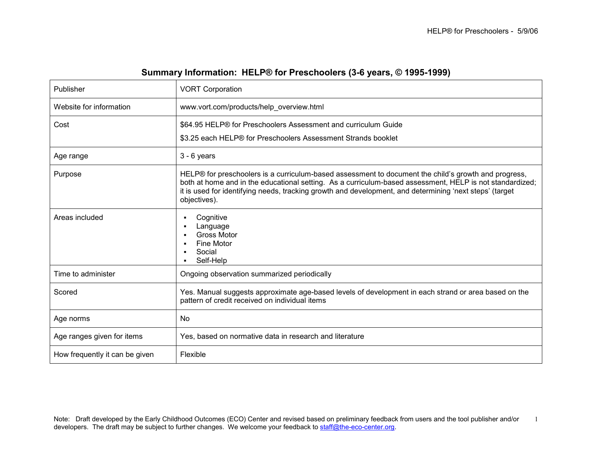| Publisher                      | <b>VORT Corporation</b>                                                                                                                                                                                                                                                                                                                     |
|--------------------------------|---------------------------------------------------------------------------------------------------------------------------------------------------------------------------------------------------------------------------------------------------------------------------------------------------------------------------------------------|
| Website for information        | www.vort.com/products/help_overview.html                                                                                                                                                                                                                                                                                                    |
| Cost                           | \$64.95 HELP® for Preschoolers Assessment and curriculum Guide<br>\$3.25 each HELP® for Preschoolers Assessment Strands booklet                                                                                                                                                                                                             |
| Age range                      | $3 - 6$ years                                                                                                                                                                                                                                                                                                                               |
| Purpose                        | HELP® for preschoolers is a curriculum-based assessment to document the child's growth and progress,<br>both at home and in the educational setting. As a curriculum-based assessment, HELP is not standardized;<br>it is used for identifying needs, tracking growth and development, and determining 'next steps' (target<br>objectives). |
| Areas included                 | Cognitive<br>٠<br>Language<br>п<br><b>Gross Motor</b><br>٠<br><b>Fine Motor</b><br>п<br>Social<br>Self-Help                                                                                                                                                                                                                                 |
| Time to administer             | Ongoing observation summarized periodically                                                                                                                                                                                                                                                                                                 |
| Scored                         | Yes. Manual suggests approximate age-based levels of development in each strand or area based on the<br>pattern of credit received on individual items                                                                                                                                                                                      |
| Age norms                      | No.                                                                                                                                                                                                                                                                                                                                         |
| Age ranges given for items     | Yes, based on normative data in research and literature                                                                                                                                                                                                                                                                                     |
| How frequently it can be given | Flexible                                                                                                                                                                                                                                                                                                                                    |

## Summary Information: HELP® for Preschoolers (3-6 years, © 1995-1999)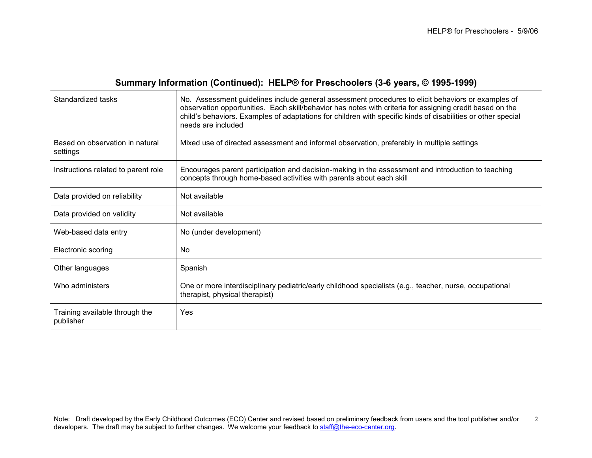# Summary Information (Continued): HELP® for Preschoolers (3-6 years, © 1995-1999)

| Standardized tasks                          | No. Assessment guidelines include general assessment procedures to elicit behaviors or examples of<br>observation opportunities. Each skill/behavior has notes with criteria for assigning credit based on the<br>child's behaviors. Examples of adaptations for children with specific kinds of disabilities or other special<br>needs are included |
|---------------------------------------------|------------------------------------------------------------------------------------------------------------------------------------------------------------------------------------------------------------------------------------------------------------------------------------------------------------------------------------------------------|
| Based on observation in natural<br>settings | Mixed use of directed assessment and informal observation, preferably in multiple settings                                                                                                                                                                                                                                                           |
| Instructions related to parent role         | Encourages parent participation and decision-making in the assessment and introduction to teaching<br>concepts through home-based activities with parents about each skill                                                                                                                                                                           |
| Data provided on reliability                | Not available                                                                                                                                                                                                                                                                                                                                        |
| Data provided on validity                   | Not available                                                                                                                                                                                                                                                                                                                                        |
| Web-based data entry                        | No (under development)                                                                                                                                                                                                                                                                                                                               |
| Electronic scoring                          | No                                                                                                                                                                                                                                                                                                                                                   |
| Other languages                             | Spanish                                                                                                                                                                                                                                                                                                                                              |
| Who administers                             | One or more interdisciplinary pediatric/early childhood specialists (e.g., teacher, nurse, occupational<br>therapist, physical therapist)                                                                                                                                                                                                            |
| Training available through the<br>publisher | Yes                                                                                                                                                                                                                                                                                                                                                  |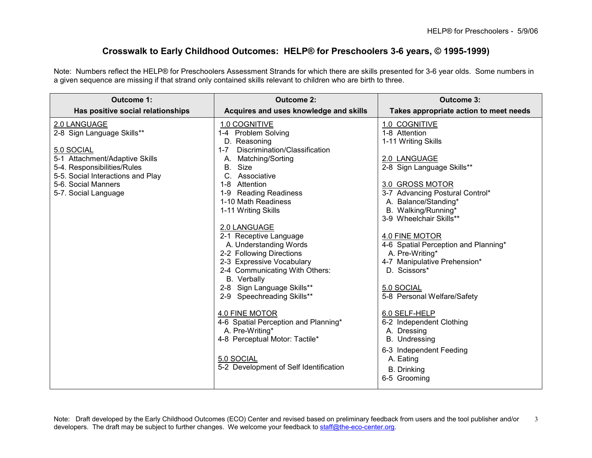### Crosswalk to Early Childhood Outcomes: HELP® for Preschoolers 3-6 years, © 1995-1999)

Note: Numbers reflect the HELP® for Preschoolers Assessment Strands for which there are skills presented for 3-6 year olds. Some numbers in a given sequence are missing if that strand only contained skills relevant to children who are birth to three.

| Outcome 1:                        | <b>Outcome 2:</b>                        | Outcome 3:                                     |
|-----------------------------------|------------------------------------------|------------------------------------------------|
| Has positive social relationships | Acquires and uses knowledge and skills   | Takes appropriate action to meet needs         |
| 2.0 LANGUAGE                      | 1.0 COGNITIVE                            | 1.0 COGNITIVE                                  |
| 2-8 Sign Language Skills**        | 1-4 Problem Solving                      | 1-8 Attention                                  |
|                                   | D. Reasoning                             | 1-11 Writing Skills                            |
| 5.0 SOCIAL                        | Discrimination/Classification<br>$1 - 7$ |                                                |
| 5-1 Attachment/Adaptive Skills    | A. Matching/Sorting                      | 2.0 LANGUAGE                                   |
| 5-4. Responsibilities/Rules       | B.<br>Size                               | 2-8 Sign Language Skills**                     |
| 5-5. Social Interactions and Play | C. Associative                           |                                                |
| 5-6. Social Manners               | Attention<br>$1 - 8$                     | 3.0 GROSS MOTOR                                |
| 5-7. Social Language              | 1-9 Reading Readiness                    | 3-7 Advancing Postural Control*                |
|                                   | 1-10 Math Readiness                      | A. Balance/Standing*                           |
|                                   | 1-11 Writing Skills                      | B. Walking/Running*<br>3-9 Wheelchair Skills** |
|                                   |                                          |                                                |
|                                   | 2.0 LANGUAGE<br>2-1 Receptive Language   | 4.0 FINE MOTOR                                 |
|                                   | A. Understanding Words                   | 4-6 Spatial Perception and Planning*           |
|                                   | 2-2 Following Directions                 | A. Pre-Writing*                                |
|                                   | 2-3 Expressive Vocabulary                | 4-7 Manipulative Prehension*                   |
|                                   | 2-4 Communicating With Others:           | D. Scissors*                                   |
|                                   | B. Verbally                              |                                                |
|                                   | 2-8 Sign Language Skills**               | 5.0 SOCIAL                                     |
|                                   | 2-9 Speechreading Skills**               | 5-8 Personal Welfare/Safety                    |
|                                   |                                          |                                                |
|                                   | 4.0 FINE MOTOR                           | 6.0 SELF-HELP                                  |
|                                   | 4-6 Spatial Perception and Planning*     | 6-2 Independent Clothing                       |
|                                   | A. Pre-Writing*                          | A. Dressing                                    |
|                                   | 4-8 Perceptual Motor: Tactile*           | B. Undressing                                  |
|                                   |                                          | 6-3 Independent Feeding                        |
|                                   | 5.0 SOCIAL                               | A. Eating                                      |
|                                   | 5-2 Development of Self Identification   |                                                |
|                                   |                                          | <b>B.</b> Drinking                             |
|                                   |                                          | 6-5 Grooming                                   |